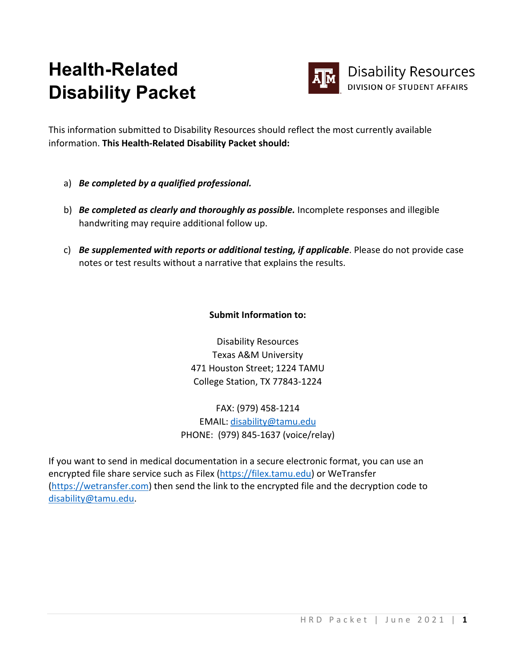## **Health-Related Disability Packet**



This information submitted to Disability Resources should reflect the most currently available information. **This Health-Related Disability Packet should:**

- a) *Be completed by a qualified professional.*
- b) *Be completed as clearly and thoroughly as possible.* Incomplete responses and illegible handwriting may require additional follow up.
- c) *Be supplemented with reports or additional testing, if applicable*. Please do not provide case notes or test results without a narrative that explains the results.

## **Submit Information to:**

Disability Resources Texas A&M University 471 Houston Street; 1224 TAMU College Station, TX 77843-1224

FAX: (979) 458-1214 EMAIL: [disability@tamu.edu](mailto:disability@tamu.edu) PHONE: (979) 845-1637 (voice/relay)

If you want to send in medical documentation in a secure electronic format, you can use an encrypted file share service such as Filex [\(https://filex.tamu.edu\)](https://filex.tamu.edu/) or WeTransfer [\(https://wetransfer.com\)](https://wetransfer.com/) then send the link to the encrypted file and the decryption code to [disability@tamu.edu.](mailto:disability@tamu.edu)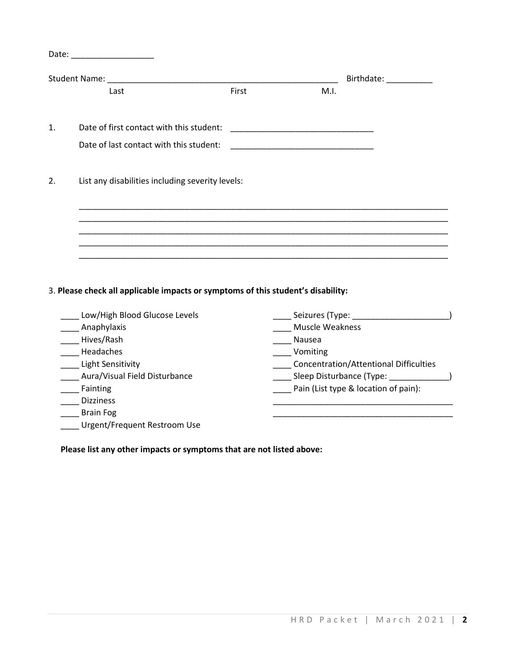|    |                                                  |       |      | Birthdate: ___________ |  |
|----|--------------------------------------------------|-------|------|------------------------|--|
|    | Last                                             | First | M.I. |                        |  |
| 1. | Date of first contact with this student:         |       |      |                        |  |
|    | Date of last contact with this student:          |       |      |                        |  |
| 2. | List any disabilities including severity levels: |       |      |                        |  |
|    |                                                  |       |      |                        |  |
|    |                                                  |       |      |                        |  |
|    |                                                  |       |      |                        |  |

## 3. **Please check all applicable impacts or symptoms of this student's disability:**

| Low/High Blood Glucose Levels | Seizures (Type: _                             |
|-------------------------------|-----------------------------------------------|
| Anaphylaxis                   | <b>Muscle Weakness</b>                        |
| Hives/Rash                    | Nausea                                        |
| Headaches                     | Vomiting                                      |
| Light Sensitivity             | <b>Concentration/Attentional Difficulties</b> |
| Aura/Visual Field Disturbance | Sleep Disturbance (Type:                      |
| Fainting                      | Pain (List type & location of pain):          |
| <b>Dizziness</b>              |                                               |
| <b>Brain Fog</b>              |                                               |
| Urgent/Frequent Restroom Use  |                                               |

**Please list any other impacts or symptoms that are not listed above:**